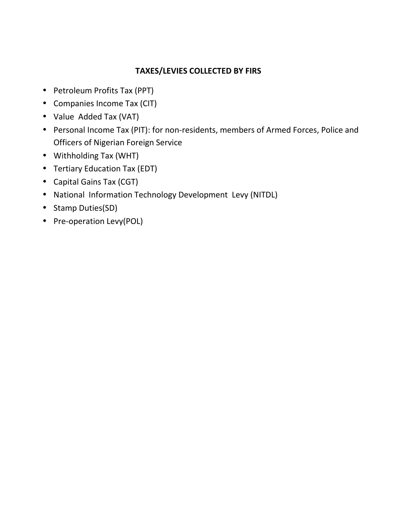#### **TAXES/LEVIES COLLECTED BY FIRS**

- Petroleum Profits Tax (PPT)
- Companies Income Tax (CIT)
- Value Added Tax (VAT)
- Personal Income Tax (PIT): for non-residents, members of Armed Forces, Police and Officers of Nigerian Foreign Service
- Withholding Tax (WHT)
- Tertiary Education Tax (EDT)
- Capital Gains Tax (CGT)
- National Information Technology Development Levy (NITDL)
- Stamp Duties(SD)
- Pre-operation Levy(POL)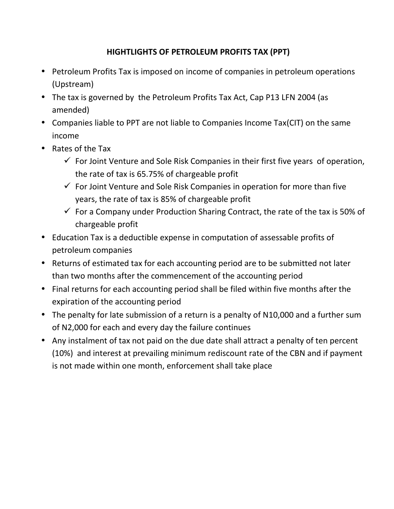#### **HIGHTLIGHTS OF PETROLEUM PROFITS TAX (PPT)**

- Petroleum Profits Tax is imposed on income of companies in petroleum operations (Upstream)
- The tax is governed by the Petroleum Profits Tax Act, Cap P13 LFN 2004 (as amended)
- Companies liable to PPT are not liable to Companies Income Tax(CIT) on the same income
- Rates of the Tax
	- $\checkmark$  For Joint Venture and Sole Risk Companies in their first five years of operation, the rate of tax is 65.75% of chargeable profit
	- $\checkmark$  For Joint Venture and Sole Risk Companies in operation for more than five years, the rate of tax is 85% of chargeable profit
	- $\checkmark$  For a Company under Production Sharing Contract, the rate of the tax is 50% of chargeable profit
- Education Tax is a deductible expense in computation of assessable profits of petroleum companies
- Returns of estimated tax for each accounting period are to be submitted not later than two months after the commencement of the accounting period
- Final returns for each accounting period shall be filed within five months after the expiration of the accounting period
- The penalty for late submission of a return is a penalty of N10,000 and a further sum of N2,000 for each and every day the failure continues
- Any instalment of tax not paid on the due date shall attract a penalty of ten percent (10%) and interest at prevailing minimum rediscount rate of the CBN and if payment is not made within one month, enforcement shall take place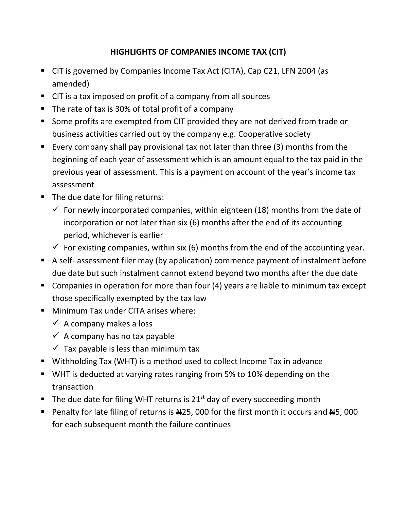# **HIGHLIGHTS OF COMPANIES INCOME TAX (CIT)**

- CIT is governed by Companies Income Tax Act (CITA), Cap C21, LFN 2004 (as amended)
- CIT is a tax imposed on profit of a company from all sources
- The rate of tax is 30% of total profit of a company
- **Some profits are exempted from CIT provided they are not derived from trade or** business activities carried out by the company e.g. Cooperative society
- Every company shall pay provisional tax not later than three (3) months from the beginning of each year of assessment which is an amount equal to the tax paid in the previous year of assessment. This is a payment on account of the year's income tax assessment
- The due date for filing returns:
	- $\checkmark$  For newly incorporated companies, within eighteen (18) months from the date of incorporation or not later than six (6) months after the end of its accounting period, whichever is earlier
	- $\checkmark$  For existing companies, within six (6) months from the end of the accounting year.
- A self- assessment filer may (by application) commence payment of instalment before due date but such instalment cannot extend beyond two months after the due date
- Companies in operation for more than four (4) years are liable to minimum tax except those specifically exempted by the tax law
- **Minimum Tax under CITA arises where:** 
	- $\checkmark$  A company makes a loss
	- $\checkmark$  A company has no tax payable
	- $\checkmark$  Tax payable is less than minimum tax
- Withholding Tax (WHT) is a method used to collect Income Tax in advance
- WHT is deducted at varying rates ranging from 5% to 10% depending on the transaction
- The due date for filing WHT returns is  $21<sup>st</sup>$  day of every succeeding month
- Penalty for late filing of returns is  $\frac{125}{100}$  for the first month it occurs and  $\frac{145}{100}$ for each subsequent month the failure continues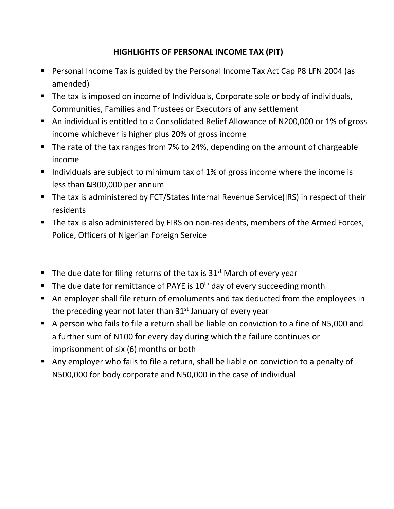#### **HIGHLIGHTS OF PERSONAL INCOME TAX (PIT)**

- Personal Income Tax is guided by the Personal Income Tax Act Cap P8 LFN 2004 (as amended)
- The tax is imposed on income of Individuals, Corporate sole or body of individuals, Communities, Families and Trustees or Executors of any settlement
- An individual is entitled to a Consolidated Relief Allowance of N200,000 or 1% of gross income whichever is higher plus 20% of gross income
- The rate of the tax ranges from 7% to 24%, depending on the amount of chargeable income
- Individuals are subject to minimum tax of 1% of gross income where the income is less than  $\text{H}300,000$  per annum
- The tax is administered by FCT/States Internal Revenue Service(IRS) in respect of their residents
- The tax is also administered by FIRS on non-residents, members of the Armed Forces, Police, Officers of Nigerian Foreign Service
- The due date for filing returns of the tax is  $31<sup>st</sup>$  March of every year
- The due date for remittance of PAYE is  $10<sup>th</sup>$  day of every succeeding month
- An employer shall file return of emoluments and tax deducted from the employees in the preceding year not later than  $31<sup>st</sup>$  January of every year
- A person who fails to file a return shall be liable on conviction to a fine of N5,000 and a further sum of N100 for every day during which the failure continues or imprisonment of six (6) months or both
- Any employer who fails to file a return, shall be liable on conviction to a penalty of N500,000 for body corporate and N50,000 in the case of individual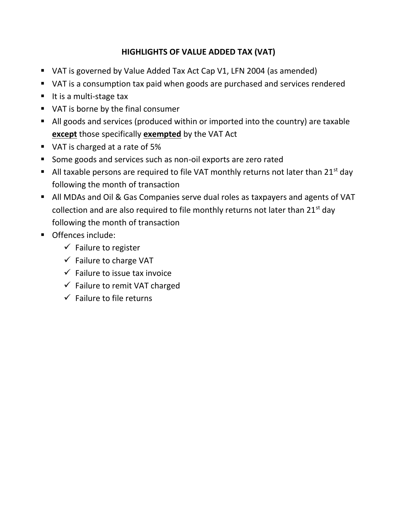# **HIGHLIGHTS OF VALUE ADDED TAX (VAT)**

- VAT is governed by Value Added Tax Act Cap V1, LFN 2004 (as amended)
- VAT is a consumption tax paid when goods are purchased and services rendered
- $\blacksquare$  It is a multi-stage tax
- VAT is borne by the final consumer
- All goods and services (produced within or imported into the country) are taxable **except** those specifically **exempted** by the VAT Act
- VAT is charged at a rate of 5%
- **Some goods and services such as non-oil exports are zero rated**
- All taxable persons are required to file VAT monthly returns not later than  $21^{st}$  day following the month of transaction
- All MDAs and Oil & Gas Companies serve dual roles as taxpayers and agents of VAT collection and are also required to file monthly returns not later than  $21^{st}$  day following the month of transaction
- **Offences include:** 
	- $\checkmark$  Failure to register
	- $\checkmark$  Failure to charge VAT
	- $\checkmark$  Failure to issue tax invoice
	- $\checkmark$  Failure to remit VAT charged
	- $\checkmark$  Failure to file returns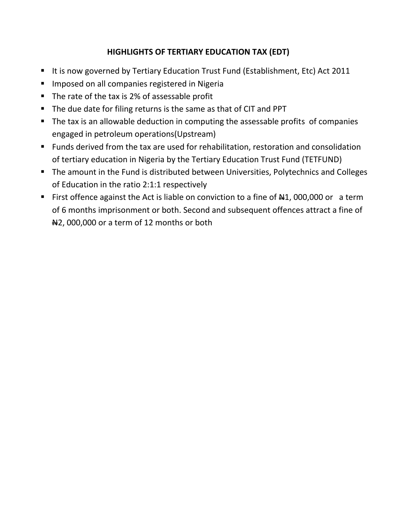## **HIGHLIGHTS OF TERTIARY EDUCATION TAX (EDT)**

- It is now governed by Tertiary Education Trust Fund (Establishment, Etc) Act 2011
- **Imposed on all companies registered in Nigeria**
- The rate of the tax is 2% of assessable profit
- The due date for filing returns is the same as that of CIT and PPT
- The tax is an allowable deduction in computing the assessable profits of companies engaged in petroleum operations(Upstream)
- Funds derived from the tax are used for rehabilitation, restoration and consolidation of tertiary education in Nigeria by the Tertiary Education Trust Fund (TETFUND)
- **The amount in the Fund is distributed between Universities, Polytechnics and Colleges** of Education in the ratio 2:1:1 respectively
- First offence against the Act is liable on conviction to a fine of  $\#1$ , 000,000 or a term of 6 months imprisonment or both. Second and subsequent offences attract a fine of  $\#2$ , 000,000 or a term of 12 months or both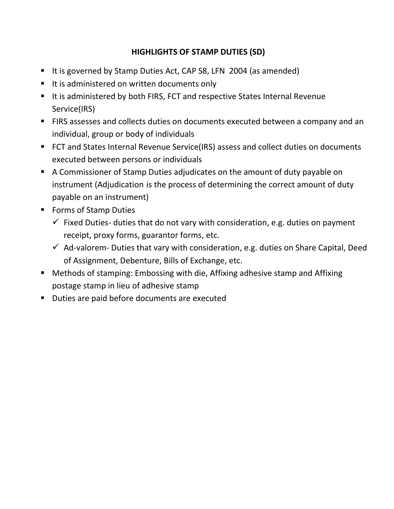# **HIGHLIGHTS OF STAMP DUTIES (SD)**

- It is governed by Stamp Duties Act, CAP S8, LFN 2004 (as amended)
- It is administered on written documents only
- It is administered by both FIRS, FCT and respective States Internal Revenue Service(IRS)
- **FIRS assesses and collects duties on documents executed between a company and an** individual, group or body of individuals
- FCT and States Internal Revenue Service(IRS) assess and collect duties on documents executed between persons or individuals
- A Commissioner of Stamp Duties adjudicates on the amount of duty payable on instrument (Adjudication is the process of determining the correct amount of duty payable on an instrument)
- Forms of Stamp Duties
	- $\checkmark$  Fixed Duties- duties that do not vary with consideration, e.g. duties on payment receipt, proxy forms, guarantor forms, etc.
	- $\checkmark$  Ad-valorem- Duties that vary with consideration, e.g. duties on Share Capital, Deed of Assignment, Debenture, Bills of Exchange, etc.
- Methods of stamping: Embossing with die, Affixing adhesive stamp and Affixing postage stamp in lieu of adhesive stamp
- Duties are paid before documents are executed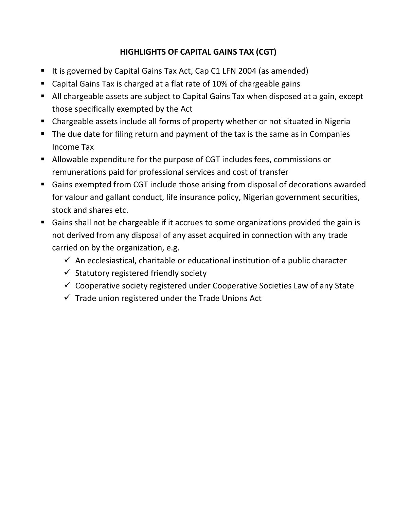# **HIGHLIGHTS OF CAPITAL GAINS TAX (CGT)**

- It is governed by Capital Gains Tax Act, Cap C1 LFN 2004 (as amended)
- Capital Gains Tax is charged at a flat rate of 10% of chargeable gains
- All chargeable assets are subject to Capital Gains Tax when disposed at a gain, except those specifically exempted by the Act
- Chargeable assets include all forms of property whether or not situated in Nigeria
- The due date for filing return and payment of the tax is the same as in Companies Income Tax
- Allowable expenditure for the purpose of CGT includes fees, commissions or remunerations paid for professional services and cost of transfer
- Gains exempted from CGT include those arising from disposal of decorations awarded for valour and gallant conduct, life insurance policy, Nigerian government securities, stock and shares etc.
- Gains shall not be chargeable if it accrues to some organizations provided the gain is not derived from any disposal of any asset acquired in connection with any trade carried on by the organization, e.g.
	- $\checkmark$  An ecclesiastical, charitable or educational institution of a public character
	- $\checkmark$  Statutory registered friendly society
	- $\checkmark$  Cooperative society registered under Cooperative Societies Law of any State
	- $\checkmark$  Trade union registered under the Trade Unions Act